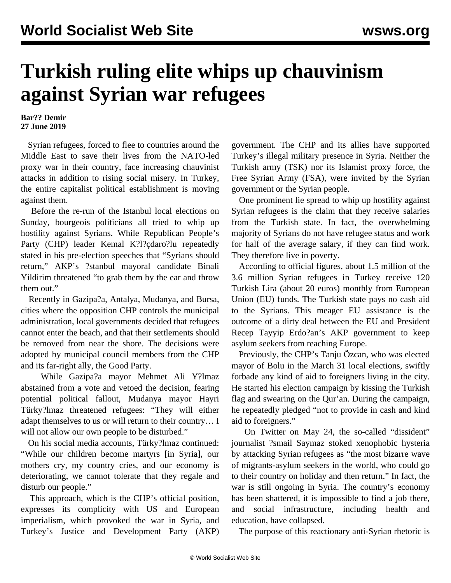## **Turkish ruling elite whips up chauvinism against Syrian war refugees**

## **Bar?? Demir 27 June 2019**

 Syrian refugees, forced to flee to countries around the Middle East to save their lives from the NATO-led proxy war in their country, face increasing chauvinist attacks in addition to rising social misery. In Turkey, the entire capitalist political establishment is moving against them.

 Before the re-run of the Istanbul local elections on Sunday, bourgeois politicians all tried to whip up hostility against Syrians. While Republican People's Party (CHP) leader Kemal K?l?çdaro?lu repeatedly stated in his pre-election speeches that "Syrians should return," AKP's ?stanbul mayoral candidate Binali Yildirim threatened "to grab them by the ear and throw them out."

 Recently in Gazipa?a, Antalya, Mudanya, and Bursa, cities where the opposition CHP controls the municipal administration, local governments decided that refugees cannot enter the beach, and that their settlements should be removed from near the shore. The decisions were adopted by municipal council members from the CHP and its far-right ally, the Good Party.

 While Gazipa?a mayor Mehmet Ali Y?lmaz abstained from a vote and vetoed the decision, fearing potential political fallout, Mudanya mayor Hayri Türky?lmaz threatened refugees: "They will either adapt themselves to us or will return to their country… I will not allow our own people to be disturbed."

 On his social media accounts, Türky?lmaz continued: "While our children become martyrs [in Syria], our mothers cry, my country cries, and our economy is deteriorating, we cannot tolerate that they regale and disturb our people."

 This approach, which is the CHP's official position, expresses its complicity with US and European imperialism, which provoked the war in Syria, and Turkey's Justice and Development Party (AKP)

government. The CHP and its allies have supported Turkey's illegal military presence in Syria. Neither the Turkish army (TSK) nor its Islamist proxy force, the Free Syrian Army (FSA), were invited by the Syrian government or the Syrian people.

 One prominent lie spread to whip up hostility against Syrian refugees is the claim that they receive salaries from the Turkish state. In fact, the overwhelming majority of Syrians do not have refugee status and work for half of the average salary, if they can find work. They therefore live in poverty.

 According to official figures, about 1.5 million of the 3.6 million Syrian refugees in Turkey receive 120 Turkish Lira (about 20 euros) monthly from European Union (EU) funds. The Turkish state pays no cash aid to the Syrians. This meager EU assistance is the outcome of a dirty deal between the EU and President Recep Tayyip Erdo?an's AKP government to keep asylum seekers from reaching Europe.

 Previously, the CHP's Tanju Özcan, who was elected mayor of Bolu in the March 31 local elections, swiftly forbade any kind of aid to foreigners living in the city. He started his election campaign by kissing the Turkish flag and swearing on the Qur'an. During the campaign, he repeatedly pledged "not to provide in cash and kind aid to foreigners."

 On Twitter on May 24, the so-called "dissident" journalist ?smail Saymaz stoked xenophobic hysteria by attacking Syrian refugees as "the most bizarre wave of migrants-asylum seekers in the world, who could go to their country on holiday and then return." In fact, the war is still ongoing in Syria. The country's economy has been shattered, it is impossible to find a job there, and social infrastructure, including health and education, have collapsed.

The purpose of this reactionary anti-Syrian rhetoric is